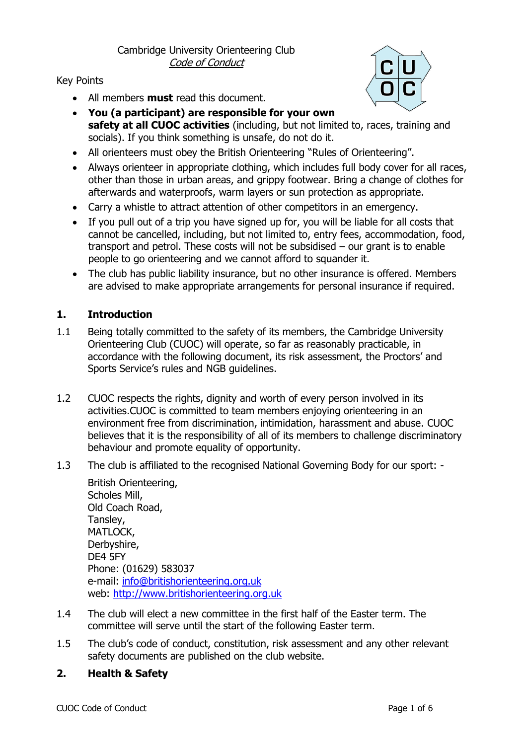# Cambridge University Orienteering Club Code of Conduct

### Key Points

• All members **must** read this document.



- **You (a participant) are responsible for your own safety at all CUOC activities** (including, but not limited to, races, training and socials). If you think something is unsafe, do not do it.
- All orienteers must obey the British Orienteering "Rules of Orienteering".
- Always orienteer in appropriate clothing, which includes full body cover for all races, other than those in urban areas, and grippy footwear. Bring a change of clothes for afterwards and waterproofs, warm layers or sun protection as appropriate.
- Carry a whistle to attract attention of other competitors in an emergency.
- If you pull out of a trip you have signed up for, you will be liable for all costs that cannot be cancelled, including, but not limited to, entry fees, accommodation, food, transport and petrol. These costs will not be subsidised – our grant is to enable people to go orienteering and we cannot afford to squander it.
- The club has public liability insurance, but no other insurance is offered. Members are advised to make appropriate arrangements for personal insurance if required.

# **1. Introduction**

- 1.1 Being totally committed to the safety of its members, the Cambridge University Orienteering Club (CUOC) will operate, so far as reasonably practicable, in accordance with the following document, its risk assessment, the Proctors' and Sports Service's rules and NGB guidelines.
- 1.2 CUOC respects the rights, dignity and worth of every person involved in its activities.CUOC is committed to team members enjoying orienteering in an environment free from discrimination, intimidation, harassment and abuse. CUOC believes that it is the responsibility of all of its members to challenge discriminatory behaviour and promote equality of opportunity.
- 1.3 The club is affiliated to the recognised National Governing Body for our sport: -

British Orienteering, Scholes Mill, Old Coach Road, Tansley, MATLOCK, Derbyshire, DE4 5FY Phone: (01629) 583037 e-mail: [info@britishorienteering.org.uk](mailto:info@britishorienteering.org.uk) web: [http://www.britishorienteering.org.uk](http://www.britishorienteering.org.uk/)

- 1.4 The club will elect a new committee in the first half of the Easter term. The committee will serve until the start of the following Easter term.
- 1.5 The club's code of conduct, constitution, risk assessment and any other relevant safety documents are published on the club website.

# **2. Health & Safety**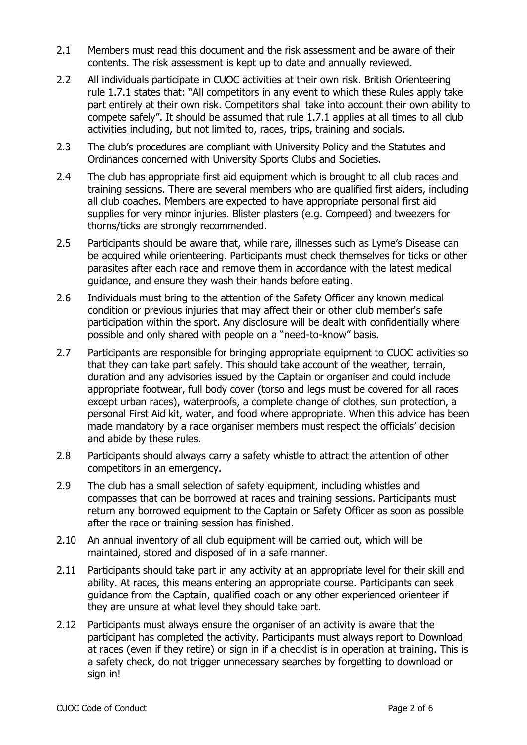- 2.1 Members must read this document and the risk assessment and be aware of their contents. The risk assessment is kept up to date and annually reviewed.
- 2.2 All individuals participate in CUOC activities at their own risk. British Orienteering rule 1.7.1 states that: "All competitors in any event to which these Rules apply take part entirely at their own risk. Competitors shall take into account their own ability to compete safely". It should be assumed that rule 1.7.1 applies at all times to all club activities including, but not limited to, races, trips, training and socials.
- 2.3 The club's procedures are compliant with University Policy and the Statutes and Ordinances concerned with University Sports Clubs and Societies.
- 2.4 The club has appropriate first aid equipment which is brought to all club races and training sessions. There are several members who are qualified first aiders, including all club coaches. Members are expected to have appropriate personal first aid supplies for very minor injuries. Blister plasters (e.g. Compeed) and tweezers for thorns/ticks are strongly recommended.
- 2.5 Participants should be aware that, while rare, illnesses such as Lyme's Disease can be acquired while orienteering. Participants must check themselves for ticks or other parasites after each race and remove them in accordance with the latest medical guidance, and ensure they wash their hands before eating.
- 2.6 Individuals must bring to the attention of the Safety Officer any known medical condition or previous injuries that may affect their or other club member's safe participation within the sport. Any disclosure will be dealt with confidentially where possible and only shared with people on a "need-to-know" basis.
- 2.7 Participants are responsible for bringing appropriate equipment to CUOC activities so that they can take part safely. This should take account of the weather, terrain, duration and any advisories issued by the Captain or organiser and could include appropriate footwear, full body cover (torso and legs must be covered for all races except urban races), waterproofs, a complete change of clothes, sun protection, a personal First Aid kit, water, and food where appropriate. When this advice has been made mandatory by a race organiser members must respect the officials' decision and abide by these rules.
- 2.8 Participants should always carry a safety whistle to attract the attention of other competitors in an emergency.
- 2.9 The club has a small selection of safety equipment, including whistles and compasses that can be borrowed at races and training sessions. Participants must return any borrowed equipment to the Captain or Safety Officer as soon as possible after the race or training session has finished.
- 2.10 An annual inventory of all club equipment will be carried out, which will be maintained, stored and disposed of in a safe manner.
- 2.11 Participants should take part in any activity at an appropriate level for their skill and ability. At races, this means entering an appropriate course. Participants can seek guidance from the Captain, qualified coach or any other experienced orienteer if they are unsure at what level they should take part.
- 2.12 Participants must always ensure the organiser of an activity is aware that the participant has completed the activity. Participants must always report to Download at races (even if they retire) or sign in if a checklist is in operation at training. This is a safety check, do not trigger unnecessary searches by forgetting to download or sign in!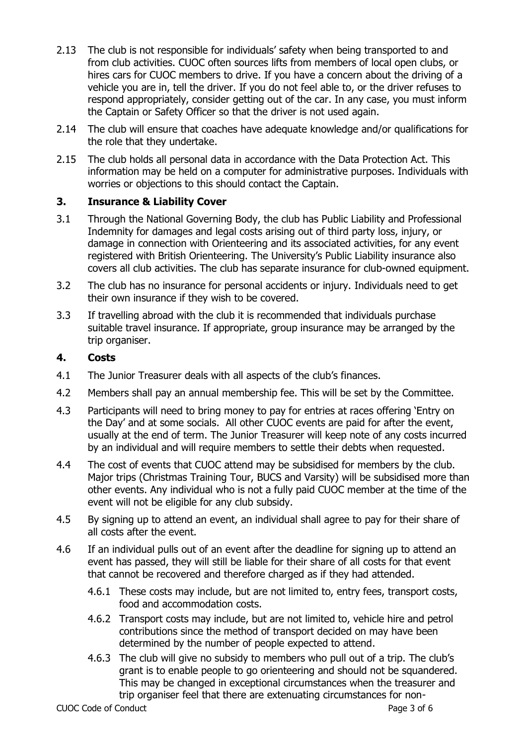- 2.13 The club is not responsible for individuals' safety when being transported to and from club activities. CUOC often sources lifts from members of local open clubs, or hires cars for CUOC members to drive. If you have a concern about the driving of a vehicle you are in, tell the driver. If you do not feel able to, or the driver refuses to respond appropriately, consider getting out of the car. In any case, you must inform the Captain or Safety Officer so that the driver is not used again.
- 2.14 The club will ensure that coaches have adequate knowledge and/or qualifications for the role that they undertake.
- 2.15 The club holds all personal data in accordance with the Data Protection Act. This information may be held on a computer for administrative purposes. Individuals with worries or objections to this should contact the Captain.

# **3. Insurance & Liability Cover**

- 3.1 Through the National Governing Body, the club has Public Liability and Professional Indemnity for damages and legal costs arising out of third party loss, injury, or damage in connection with Orienteering and its associated activities, for any event registered with British Orienteering. The University's Public Liability insurance also covers all club activities. The club has separate insurance for club-owned equipment.
- 3.2 The club has no insurance for personal accidents or injury. Individuals need to get their own insurance if they wish to be covered.
- 3.3 If travelling abroad with the club it is recommended that individuals purchase suitable travel insurance. If appropriate, group insurance may be arranged by the trip organiser.

### **4. Costs**

- 4.1 The Junior Treasurer deals with all aspects of the club's finances.
- 4.2 Members shall pay an annual membership fee. This will be set by the Committee.
- 4.3 Participants will need to bring money to pay for entries at races offering 'Entry on the Day' and at some socials. All other CUOC events are paid for after the event, usually at the end of term. The Junior Treasurer will keep note of any costs incurred by an individual and will require members to settle their debts when requested.
- 4.4 The cost of events that CUOC attend may be subsidised for members by the club. Major trips (Christmas Training Tour, BUCS and Varsity) will be subsidised more than other events. Any individual who is not a fully paid CUOC member at the time of the event will not be eligible for any club subsidy.
- 4.5 By signing up to attend an event, an individual shall agree to pay for their share of all costs after the event.
- 4.6 If an individual pulls out of an event after the deadline for signing up to attend an event has passed, they will still be liable for their share of all costs for that event that cannot be recovered and therefore charged as if they had attended.
	- 4.6.1 These costs may include, but are not limited to, entry fees, transport costs, food and accommodation costs.
	- 4.6.2 Transport costs may include, but are not limited to, vehicle hire and petrol contributions since the method of transport decided on may have been determined by the number of people expected to attend.
	- 4.6.3 The club will give no subsidy to members who pull out of a trip. The club's grant is to enable people to go orienteering and should not be squandered. This may be changed in exceptional circumstances when the treasurer and trip organiser feel that there are extenuating circumstances for non-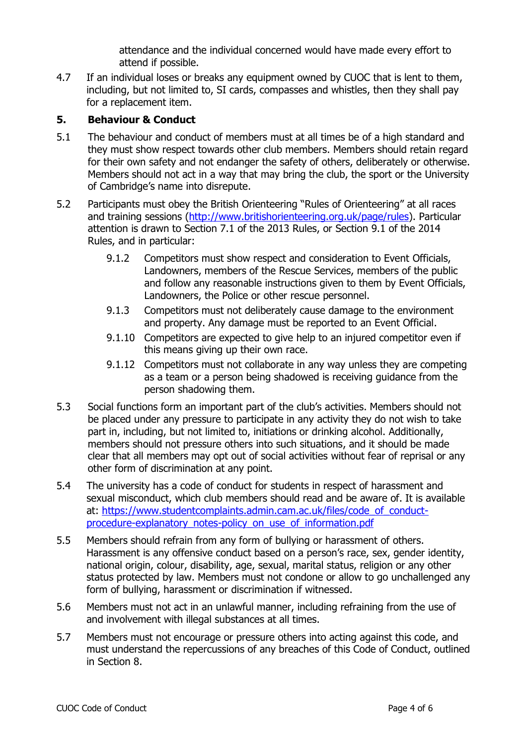attendance and the individual concerned would have made every effort to attend if possible.

4.7 If an individual loses or breaks any equipment owned by CUOC that is lent to them, including, but not limited to, SI cards, compasses and whistles, then they shall pay for a replacement item.

# **5. Behaviour & Conduct**

- 5.1 The behaviour and conduct of members must at all times be of a high standard and they must show respect towards other club members. Members should retain regard for their own safety and not endanger the safety of others, deliberately or otherwise. Members should not act in a way that may bring the club, the sport or the University of Cambridge's name into disrepute.
- 5.2 Participants must obey the British Orienteering "Rules of Orienteering" at all races and training sessions [\(http://www.britishorienteering.org.uk/page/rules\)](http://www.britishorienteering.org.uk/page/rules). Particular attention is drawn to Section 7.1 of the 2013 Rules, or Section 9.1 of the 2014 Rules, and in particular:
	- 9.1.2 Competitors must show respect and consideration to Event Officials, Landowners, members of the Rescue Services, members of the public and follow any reasonable instructions given to them by Event Officials, Landowners, the Police or other rescue personnel.
	- 9.1.3 Competitors must not deliberately cause damage to the environment and property. Any damage must be reported to an Event Official.
	- 9.1.10 Competitors are expected to give help to an injured competitor even if this means giving up their own race.
	- 9.1.12 Competitors must not collaborate in any way unless they are competing as a team or a person being shadowed is receiving guidance from the person shadowing them.
- 5.3 Social functions form an important part of the club's activities. Members should not be placed under any pressure to participate in any activity they do not wish to take part in, including, but not limited to, initiations or drinking alcohol. Additionally, members should not pressure others into such situations, and it should be made clear that all members may opt out of social activities without fear of reprisal or any other form of discrimination at any point.
- 5.4 The university has a code of conduct for students in respect of harassment and sexual misconduct, which club members should read and be aware of. It is available at: [https://www.studentcomplaints.admin.cam.ac.uk/files/code\\_of\\_conduct](https://www.studentcomplaints.admin.cam.ac.uk/files/code_of_conduct-procedure-explanatory_notes-policy_on_use_of_information.pdf)[procedure-explanatory\\_notes-policy\\_on\\_use\\_of\\_information.pdf](https://www.studentcomplaints.admin.cam.ac.uk/files/code_of_conduct-procedure-explanatory_notes-policy_on_use_of_information.pdf)
- 5.5 Members should refrain from any form of bullying or harassment of others. Harassment is any offensive conduct based on a person's race, sex, gender identity, national origin, colour, disability, age, sexual, marital status, religion or any other status protected by law. Members must not condone or allow to go unchallenged any form of bullying, harassment or discrimination if witnessed.
- 5.6 Members must not act in an unlawful manner, including refraining from the use of and involvement with illegal substances at all times.
- 5.7 Members must not encourage or pressure others into acting against this code, and must understand the repercussions of any breaches of this Code of Conduct, outlined in Section 8.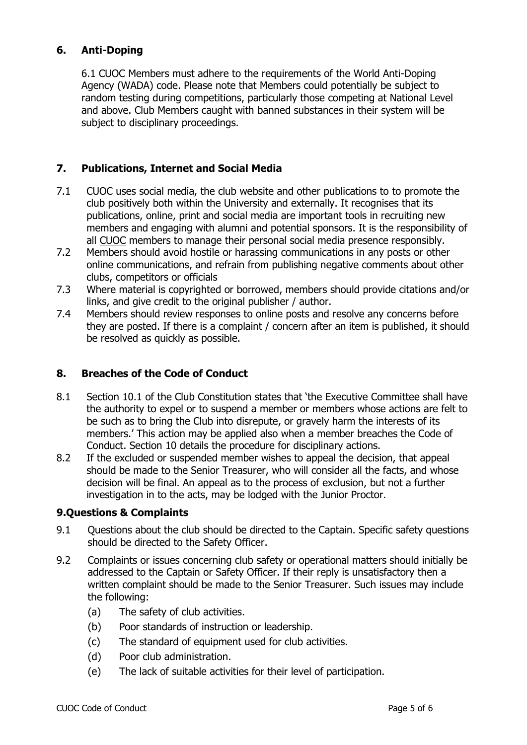# **6. Anti-Doping**

6.1 CUOC Members must adhere to the requirements of the World Anti-Doping Agency (WADA) code. Please note that Members could potentially be subject to random testing during competitions, particularly those competing at National Level and above. Club Members caught with banned substances in their system will be subject to disciplinary proceedings.

## **7. Publications, Internet and Social Media**

- 7.1 CUOC uses social media, the club website and other publications to to promote the club positively both within the University and externally. It recognises that its publications, online, print and social media are important tools in recruiting new members and engaging with alumni and potential sponsors. It is the responsibility of all CUOC members to manage their personal social media presence responsibly.
- 7.2 Members should avoid hostile or harassing communications in any posts or other online communications, and refrain from publishing negative comments about other clubs, competitors or officials
- 7.3 Where material is copyrighted or borrowed, members should provide citations and/or links, and give credit to the original publisher / author.
- 7.4 Members should review responses to online posts and resolve any concerns before they are posted. If there is a complaint / concern after an item is published, it should be resolved as quickly as possible.

### **8. Breaches of the Code of Conduct**

- 8.1 Section 10.1 of the Club Constitution states that 'the Executive Committee shall have the authority to expel or to suspend a member or members whose actions are felt to be such as to bring the Club into disrepute, or gravely harm the interests of its members.' This action may be applied also when a member breaches the Code of Conduct. Section 10 details the procedure for disciplinary actions.
- 8.2 If the excluded or suspended member wishes to appeal the decision, that appeal should be made to the Senior Treasurer, who will consider all the facts, and whose decision will be final. An appeal as to the process of exclusion, but not a further investigation in to the acts, may be lodged with the Junior Proctor.

#### **9.Questions & Complaints**

- 9.1 Questions about the club should be directed to the Captain. Specific safety questions should be directed to the Safety Officer.
- 9.2 Complaints or issues concerning club safety or operational matters should initially be addressed to the Captain or Safety Officer. If their reply is unsatisfactory then a written complaint should be made to the Senior Treasurer. Such issues may include the following:
	- (a) The safety of club activities.
	- (b) Poor standards of instruction or leadership.
	- (c) The standard of equipment used for club activities.
	- (d) Poor club administration.
	- (e) The lack of suitable activities for their level of participation.